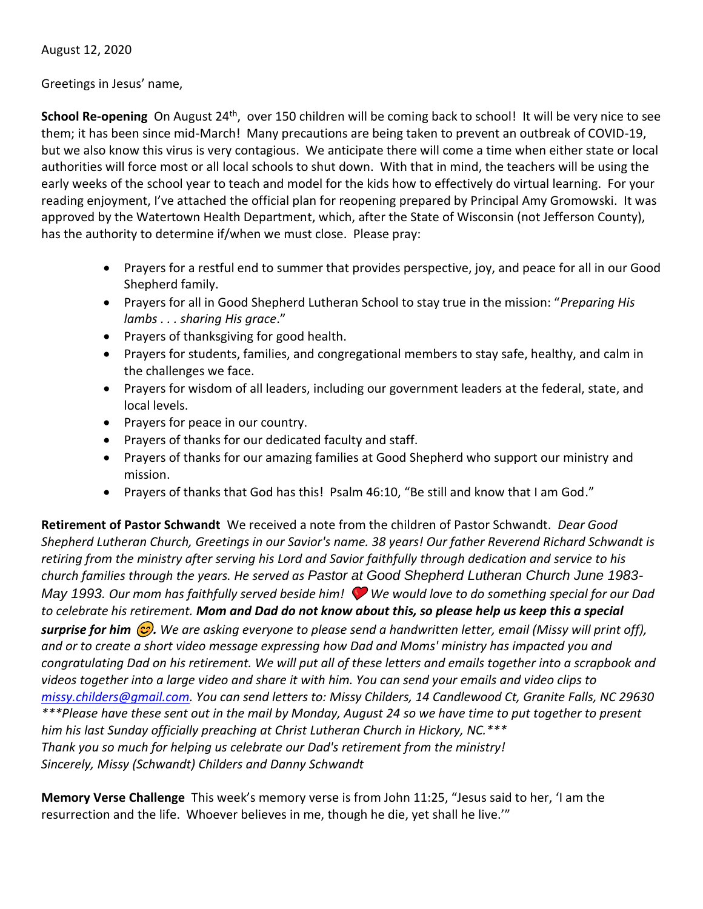August 12, 2020

Greetings in Jesus' name,

School Re-opening On August 24<sup>th</sup>, over 150 children will be coming back to school! It will be very nice to see them; it has been since mid-March! Many precautions are being taken to prevent an outbreak of COVID-19, but we also know this virus is very contagious. We anticipate there will come a time when either state or local authorities will force most or all local schools to shut down. With that in mind, the teachers will be using the early weeks of the school year to teach and model for the kids how to effectively do virtual learning. For your reading enjoyment, I've attached the official plan for reopening prepared by Principal Amy Gromowski. It was approved by the Watertown Health Department, which, after the State of Wisconsin (not Jefferson County), has the authority to determine if/when we must close. Please pray:

- Prayers for a restful end to summer that provides perspective, joy, and peace for all in our Good Shepherd family.
- Prayers for all in Good Shepherd Lutheran School to stay true in the mission: "*Preparing His lambs . . . sharing His grace*."
- Prayers of thanksgiving for good health.
- Prayers for students, families, and congregational members to stay safe, healthy, and calm in the challenges we face.
- Prayers for wisdom of all leaders, including our government leaders at the federal, state, and local levels.
- Prayers for peace in our country.
- Prayers of thanks for our dedicated faculty and staff.
- Prayers of thanks for our amazing families at Good Shepherd who support our ministry and mission.
- Prayers of thanks that God has this! Psalm 46:10, "Be still and know that I am God."

**Retirement of Pastor Schwandt** We received a note from the children of Pastor Schwandt. *Dear Good Shepherd Lutheran Church, Greetings in our Savior's name. 38 years! Our father Reverend Richard Schwandt is retiring from the ministry after serving his Lord and Savior faithfully through dedication and service to his church families through the years. He served as Pastor at Good Shepherd Lutheran Church June 1983- May 1993. Our mom has faithfully served beside him! We would love to do something special for our Dad to celebrate his retirement. Mom and Dad do not know about this, so please help us keep this a special surprise for him*  $\mathcal{C}$ *. We are asking everyone to please send a handwritten letter, email (Missy will print off), and or to create a short video message expressing how Dad and Moms' ministry has impacted you and congratulating Dad on his retirement. We will put all of these letters and emails together into a scrapbook and videos together into a large video and share it with him. You can send your emails and video clips to [missy.childers@gmail.com.](mailto:missy.childers@gmail.com) You can send letters to: Missy Childers, 14 Candlewood Ct, Granite Falls, NC 29630 \*\*\*Please have these sent out in the mail by Monday, August 24 so we have time to put together to present him his last Sunday officially preaching at Christ Lutheran Church in Hickory, NC.\*\*\* Thank you so much for helping us celebrate our Dad's retirement from the ministry! Sincerely, Missy (Schwandt) Childers and Danny Schwandt*

**Memory Verse Challenge** This week's memory verse is from John 11:25, "Jesus said to her, 'I am the resurrection and the life. Whoever believes in me, though he die, yet shall he live.'"